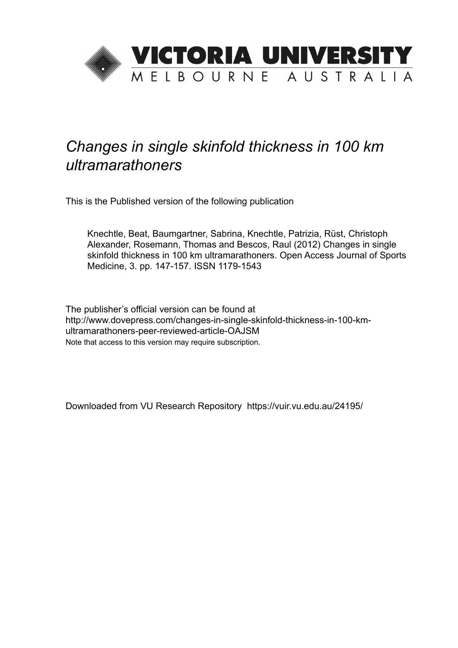

# *Changes in single skinfold thickness in 100 km ultramarathoners*

This is the Published version of the following publication

Knechtle, Beat, Baumgartner, Sabrina, Knechtle, Patrizia, Rüst, Christoph Alexander, Rosemann, Thomas and Bescos, Raul (2012) Changes in single skinfold thickness in 100 km ultramarathoners. Open Access Journal of Sports Medicine, 3. pp. 147-157. ISSN 1179-1543

The publisher's official version can be found at http://www.dovepress.com/changes-in-single-skinfold-thickness-in-100-kmultramarathoners-peer-reviewed-article-OAJSM Note that access to this version may require subscription.

Downloaded from VU Research Repository https://vuir.vu.edu.au/24195/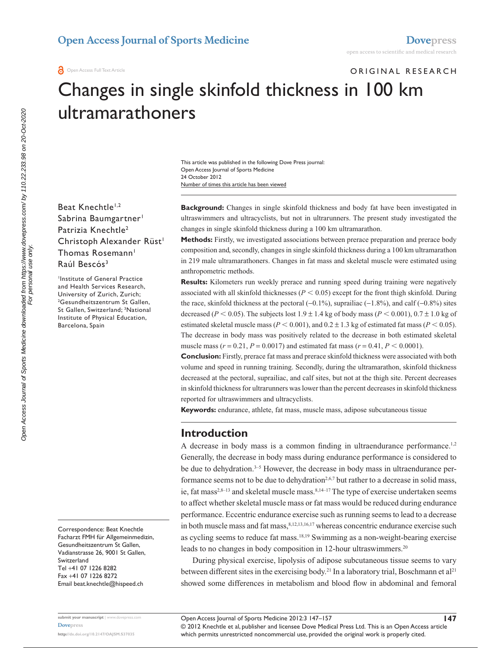ORIGINAL RESEARCH

# Changes in single skinfold thickness in 100 km ultramarathoners

Number of times this article has been viewed This article was published in the following Dove Press journal: Open Access Journal of Sports Medicine 24 October 2012

Beat Knechtle<sup>1,2</sup> Sabrina Baumgartner<sup>1</sup> Patrizia Knechtle<sup>2</sup> Christoph Alexander Rüst<sup>1</sup> Thomas Rosemann<sup>1</sup> Raúl Bescós<sup>3</sup>

Institute of General Practice and Health Services Research, University of Zurich, Zurich; 2 Gesundheitszentrum St Gallen, St Gallen, Switzerland; <sup>3</sup>National Institute of Physical Education, Barcelona, Spain

Correspondence: Beat Knechtle Facharzt FMH für Allgemeinmedizin, Gesundheitszentrum St Gallen, Vadianstrasse 26, 9001 St Gallen, Switzerland Tel +41 07 1226 8282 Fax +41 07 1226 8272 Email [beat.knechtle@hispeed.ch](mailto:beat.knechtle@hispeed.ch)

**Background:** Changes in single skinfold thickness and body fat have been investigated in ultraswimmers and ultracyclists, but not in ultrarunners. The present study investigated the changes in single skinfold thickness during a 100 km ultramarathon.

**Methods:** Firstly, we investigated associations between prerace preparation and prerace body composition and, secondly, changes in single skinfold thickness during a 100 km ultramarathon in 219 male ultramarathoners. Changes in fat mass and skeletal muscle were estimated using anthropometric methods.

**Results:** Kilometers run weekly prerace and running speed during training were negatively associated with all skinfold thicknesses ( $P < 0.05$ ) except for the front thigh skinfold. During the race, skinfold thickness at the pectoral (−0.1%), suprailiac (−1.8%), and calf (-0.8%) sites decreased ( $P < 0.05$ ). The subjects lost  $1.9 \pm 1.4$  kg of body mass ( $P < 0.001$ ),  $0.7 \pm 1.0$  kg of estimated skeletal muscle mass ( $P < 0.001$ ), and  $0.2 \pm 1.3$  kg of estimated fat mass ( $P < 0.05$ ). The decrease in body mass was positively related to the decrease in both estimated skeletal muscle mass ( $r = 0.21$ ,  $P = 0.0017$ ) and estimated fat mass ( $r = 0.41$ ,  $P < 0.0001$ ).

**Conclusion:** Firstly, prerace fat mass and prerace skinfold thickness were associated with both volume and speed in running training. Secondly, during the ultramarathon, skinfold thickness decreased at the pectoral, suprailiac, and calf sites, but not at the thigh site. Percent decreases in skinfold thickness for ultrarunners was lower than the percent decreases in skinfold thickness reported for ultraswimmers and ultracyclists.

**Keywords:** endurance, athlete, fat mass, muscle mass, adipose subcutaneous tissue

#### **Introduction**

A decrease in body mass is a common finding in ultraendurance performance.<sup>1,2</sup> Generally, the decrease in body mass during endurance performance is considered to be due to dehydration.<sup>3–5</sup> However, the decrease in body mass in ultraendurance performance seems not to be due to dehydration<sup>2,6,7</sup> but rather to a decrease in solid mass, ie, fat mass<sup>2,8–13</sup> and skeletal muscle mass.<sup>8,14–17</sup> The type of exercise undertaken seems to affect whether skeletal muscle mass or fat mass would be reduced during endurance performance. Eccentric endurance exercise such as running seems to lead to a decrease in both muscle mass and fat mass,  $8,12,13,16,17$  whereas concentric endurance exercise such as cycling seems to reduce fat mass.18,19 Swimming as a non-weight-bearing exercise leads to no changes in body composition in 12-hour ultraswimmers.<sup>20</sup>

During physical exercise, lipolysis of adipose subcutaneous tissue seems to vary between different sites in the exercising body.<sup>21</sup> In a laboratory trial, Boschmann et al<sup>21</sup> showed some differences in metabolism and blood flow in abdominal and femoral

which permits unrestricted noncommercial use, provided the original work is properly cited.

**<http://dx.doi.org/10.2147/OAJSM.S37035>**

**submit your manuscript** | <www.dovepress.com>

**[Dovepress](www.dovepress.com)**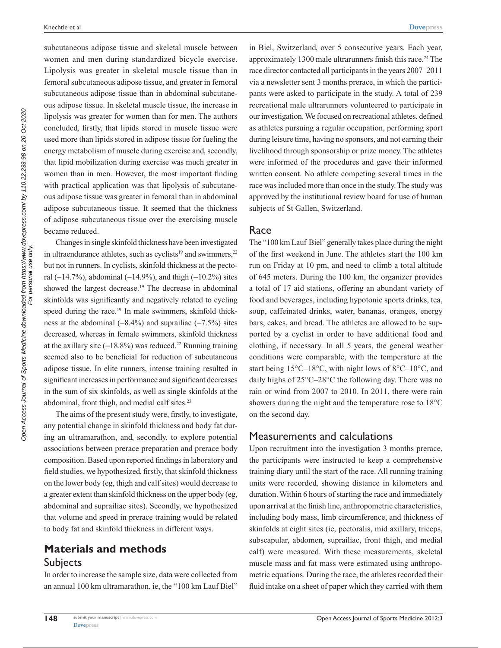subcutaneous adipose tissue and skeletal muscle between women and men during standardized bicycle exercise. Lipolysis was greater in skeletal muscle tissue than in femoral subcutaneous adipose tissue, and greater in femoral subcutaneous adipose tissue than in abdominal subcutaneous adipose tissue. In skeletal muscle tissue, the increase in lipolysis was greater for women than for men. The authors concluded, firstly, that lipids stored in muscle tissue were used more than lipids stored in adipose tissue for fueling the energy metabolism of muscle during exercise and, secondly, that lipid mobilization during exercise was much greater in women than in men. However, the most important finding with practical application was that lipolysis of subcutaneous adipose tissue was greater in femoral than in abdominal adipose subcutaneous tissue. It seemed that the thickness of adipose subcutaneous tissue over the exercising muscle became reduced.

Changes in single skinfold thickness have been investigated in ultraendurance athletes, such as cyclists<sup>19</sup> and swimmers,  $22$ but not in runners. In cyclists, skinfold thickness at the pectoral  $(-14.7\%)$ , abdominal  $(-14.9\%)$ , and thigh  $(-10.2\%)$  sites showed the largest decrease.19 The decrease in abdominal skinfolds was significantly and negatively related to cycling speed during the race.<sup>19</sup> In male swimmers, skinfold thickness at the abdominal  $(-8.4\%)$  and suprailiac  $(-7.5\%)$  sites decreased, whereas in female swimmers, skinfold thickness at the axillary site  $(-18.8\%)$  was reduced.<sup>22</sup> Running training seemed also to be beneficial for reduction of subcutaneous adipose tissue. In elite runners, intense training resulted in significant increases in performance and significant decreases in the sum of six skinfolds, as well as single skinfolds at the abdominal, front thigh, and medial calf sites.<sup>23</sup>

The aims of the present study were, firstly, to investigate, any potential change in skinfold thickness and body fat during an ultramarathon, and, secondly, to explore potential associations between prerace preparation and prerace body composition. Based upon reported findings in laboratory and field studies, we hypothesized, firstly, that skinfold thickness on the lower body (eg, thigh and calf sites) would decrease to a greater extent than skinfold thickness on the upper body (eg, abdominal and suprailiac sites). Secondly, we hypothesized that volume and speed in prerace training would be related to body fat and skinfold thickness in different ways.

# **Materials and methods Subjects**

In order to increase the sample size, data were collected from an annual 100 km ultramarathon, ie, the "100 km Lauf Biel"

in Biel, Switzerland, over 5 consecutive years. Each year, approximately 1300 male ultrarunners finish this race.24 The race director contacted all participants in the years 2007–2011 via a newsletter sent 3 months prerace, in which the participants were asked to participate in the study. A total of 239 recreational male ultrarunners volunteered to participate in our investigation. We focused on recreational athletes, defined as athletes pursuing a regular occupation, performing sport during leisure time, having no sponsors, and not earning their livelihood through sponsorship or prize money. The athletes were informed of the procedures and gave their informed written consent. No athlete competing several times in the race was included more than once in the study. The study was approved by the institutional review board for use of human subjects of St Gallen, Switzerland.

#### Race

The "100 km Lauf Biel" generally takes place during the night of the first weekend in June. The athletes start the 100 km run on Friday at 10 pm, and need to climb a total altitude of 645 meters. During the 100 km, the organizer provides a total of 17 aid stations, offering an abundant variety of food and beverages, including hypotonic sports drinks, tea, soup, caffeinated drinks, water, bananas, oranges, energy bars, cakes, and bread. The athletes are allowed to be supported by a cyclist in order to have additional food and clothing, if necessary. In all 5 years, the general weather conditions were comparable, with the temperature at the start being 15°C–18°C, with night lows of 8°C–10°C, and daily highs of 25°C–28°C the following day. There was no rain or wind from 2007 to 2010. In 2011, there were rain showers during the night and the temperature rose to 18°C on the second day.

#### Measurements and calculations

Upon recruitment into the investigation 3 months prerace, the participants were instructed to keep a comprehensive training diary until the start of the race. All running training units were recorded, showing distance in kilometers and duration. Within 6 hours of starting the race and immediately upon arrival at the finish line, anthropometric characteristics, including body mass, limb circumference, and thickness of skinfolds at eight sites (ie, pectoralis, mid axillary, triceps, subscapular, abdomen, suprailiac, front thigh, and medial calf) were measured. With these measurements, skeletal muscle mass and fat mass were estimated using anthropometric equations. During the race, the athletes recorded their fluid intake on a sheet of paper which they carried with them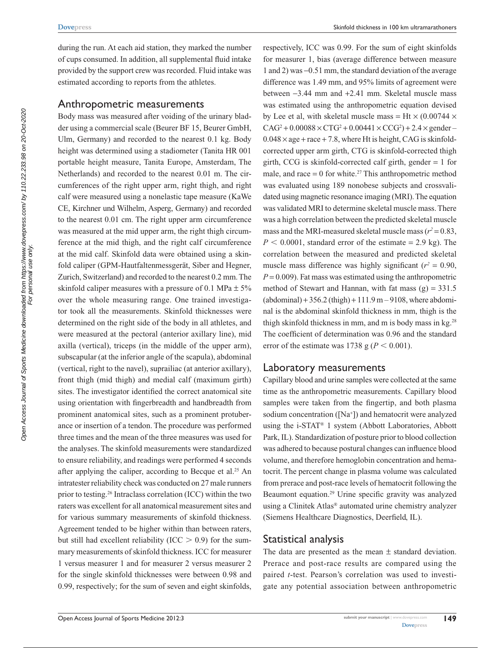during the run. At each aid station, they marked the number of cups consumed. In addition, all supplemental fluid intake provided by the support crew was recorded. Fluid intake was estimated according to reports from the athletes.

#### Anthropometric measurements

Body mass was measured after voiding of the urinary bladder using a commercial scale (Beurer BF 15, Beurer GmbH, Ulm, Germany) and recorded to the nearest 0.1 kg. Body height was determined using a stadiometer (Tanita HR 001 portable height measure, Tanita Europe, Amsterdam, The Netherlands) and recorded to the nearest 0.01 m. The circumferences of the right upper arm, right thigh, and right calf were measured using a nonelastic tape measure (KaWe CE, Kirchner und Wilhelm, Asperg, Germany) and recorded to the nearest 0.01 cm. The right upper arm circumference was measured at the mid upper arm, the right thigh circumference at the mid thigh, and the right calf circumference at the mid calf. Skinfold data were obtained using a skinfold caliper (GPM-Hautfaltenmessgerät, Siber and Hegner, Zurich, Switzerland) and recorded to the nearest 0.2 mm. The skinfold caliper measures with a pressure of 0.1 MPa  $\pm$  5% over the whole measuring range. One trained investigator took all the measurements. Skinfold thicknesses were determined on the right side of the body in all athletes, and were measured at the pectoral (anterior axillary line), mid axilla (vertical), triceps (in the middle of the upper arm), subscapular (at the inferior angle of the scapula), abdominal (vertical, right to the navel), suprailiac (at anterior axillary), front thigh (mid thigh) and medial calf (maximum girth) sites. The investigator identified the correct anatomical site using orientation with fingerbreadth and handbreadth from prominent anatomical sites, such as a prominent protuberance or insertion of a tendon. The procedure was performed three times and the mean of the three measures was used for the analyses. The skinfold measurements were standardized to ensure reliability, and readings were performed 4 seconds after applying the caliper, according to Becque et al.<sup>25</sup> An intratester reliability check was conducted on 27 male runners prior to testing.26 Intraclass correlation (ICC) within the two raters was excellent for all anatomical measurement sites and for various summary measurements of skinfold thickness. Agreement tended to be higher within than between raters, but still had excellent reliability (ICC  $> 0.9$ ) for the summary measurements of skinfold thickness. ICC for measurer 1 versus measurer 1 and for measurer 2 versus measurer 2 for the single skinfold thicknesses were between 0.98 and 0.99, respectively; for the sum of seven and eight skinfolds,

respectively, ICC was 0.99. For the sum of eight skinfolds for measurer 1, bias (average difference between measure 1 and 2) was -0.51 mm, the standard deviation of the average difference was 1.49 mm, and 95% limits of agreement were between -3.44 mm and +2.41 mm. Skeletal muscle mass was estimated using the anthropometric equation devised by Lee et al, with skeletal muscle mass = Ht  $\times$  (0.00744  $\times$  $CAG^2 + 0.00088 \times CTG^2 + 0.00441 \times CCG^2 + 2.4 \times gender 0.048 \times age + race + 7.8$ , where Ht is height, CAG is skinfoldcorrected upper arm girth, CTG is skinfold-corrected thigh girth, CCG is skinfold-corrected calf girth, gender = 1 for male, and race  $= 0$  for white.<sup>27</sup> This anthropometric method was evaluated using 189 nonobese subjects and crossvalidated using magnetic resonance imaging (MRI). The equation was validated MRI to determine skeletal muscle mass. There was a high correlation between the predicted skeletal muscle mass and the MRI-measured skeletal muscle mass ( $r^2$  = 0.83,  $P < 0.0001$ , standard error of the estimate = 2.9 kg). The correlation between the measured and predicted skeletal muscle mass difference was highly significant ( $r^2 = 0.90$ ,  $P = 0.009$ ). Fat mass was estimated using the anthropometric method of Stewart and Hannan, with fat mass  $(g) = 331.5$  $(abdominal) + 356.2 (thigh) + 111.9 m - 9108$ , where abdominal is the abdominal skinfold thickness in mm, thigh is the thigh skinfold thickness in mm, and m is body mass in kg. $28$ The coefficient of determination was 0.96 and the standard error of the estimate was 1738 g ( $P < 0.001$ ).

#### Laboratory measurements

Capillary blood and urine samples were collected at the same time as the anthropometric measurements. Capillary blood samples were taken from the fingertip, and both plasma sodium concentration ([Na<sup>+</sup> ]) and hematocrit were analyzed using the i-STAT® 1 system (Abbott Laboratories, Abbott Park, IL). Standardization of posture prior to blood collection was adhered to because postural changes can influence blood volume, and therefore hemoglobin concentration and hematocrit. The percent change in plasma volume was calculated from prerace and post-race levels of hematocrit following the Beaumont equation.29 Urine specific gravity was analyzed using a Clinitek Atlas® automated urine chemistry analyzer (Siemens Healthcare Diagnostics, Deerfield, IL).

#### Statistical analysis

The data are presented as the mean  $\pm$  standard deviation. Prerace and post-race results are compared using the paired *t*-test. Pearson's correlation was used to investigate any potential association between anthropometric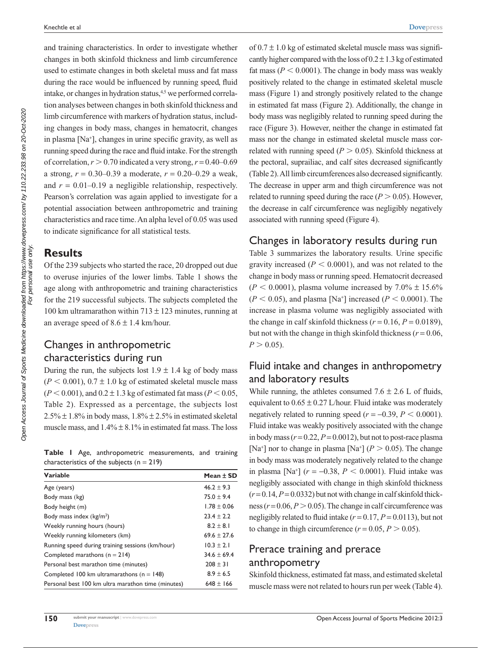and training characteristics. In order to investigate whether changes in both skinfold thickness and limb circumference used to estimate changes in both skeletal muss and fat mass during the race would be influenced by running speed, fluid intake, or changes in hydration status,<sup>4,5</sup> we performed correlation analyses between changes in both skinfold thickness and limb circumference with markers of hydration status, including changes in body mass, changes in hematocrit, changes in plasma [Na<sup>+</sup> ], changes in urine specific gravity, as well as running speed during the race and fluid intake. For the strength of correlation,  $r > 0.70$  indicated a very strong,  $r = 0.40 - 0.69$ a strong, *r* = 0.30–0.39 a moderate, *r* = 0.20–0.29 a weak, and  $r = 0.01 - 0.19$  a negligible relationship, respectively. Pearson's correlation was again applied to investigate for a potential association between anthropometric and training characteristics and race time. An alpha level of 0.05 was used to indicate significance for all statistical tests.

#### **Results**

Of the 239 subjects who started the race, 20 dropped out due to overuse injuries of the lower limbs. Table 1 shows the age along with anthropometric and training characteristics for the 219 successful subjects. The subjects completed the 100 km ultramarathon within  $713 \pm 123$  minutes, running at an average speed of  $8.6 \pm 1.4$  km/hour.

## Changes in anthropometric characteristics during run

During the run, the subjects lost  $1.9 \pm 1.4$  kg of body mass  $(P < 0.001)$ ,  $0.7 \pm 1.0$  kg of estimated skeletal muscle mass  $(P < 0.001)$ , and  $0.2 \pm 1.3$  kg of estimated fat mass ( $P < 0.05$ , Table 2). Expressed as a percentage, the subjects lost  $2.5\% \pm 1.8\%$  in body mass,  $1.8\% \pm 2.5\%$  in estimated skeletal muscle mass, and  $1.4\% \pm 8.1\%$  in estimated fat mass. The loss

**Table 1** Age, anthropometric measurements, and training characteristics of the subjects  $(n = 219)$ 

| Variable                                           | Mean $\pm$ SD   |
|----------------------------------------------------|-----------------|
| Age (years)                                        | $46.2 \pm 9.3$  |
| Body mass (kg)                                     | $75.0 \pm 9.4$  |
| Body height (m)                                    | $1.78 \pm 0.06$ |
| Body mass index $(kg/m2)$                          | $23.4 \pm 2.2$  |
| Weekly running hours (hours)                       | $8.2 \pm 8.1$   |
| Weekly running kilometers (km)                     | $69.6 \pm 27.6$ |
| Running speed during training sessions (km/hour)   | $10.3 \pm 2.1$  |
| Completed marathons $(n = 214)$                    | $34.6 \pm 69.4$ |
| Personal best marathon time (minutes)              | $208 \pm 31$    |
| Completed 100 km ultramarathons ( $n = 148$ )      | $8.9 \pm 6.5$   |
| Personal best 100 km ultra marathon time (minutes) | $648 \pm 166$   |

of  $0.7 \pm 1.0$  kg of estimated skeletal muscle mass was significantly higher compared with the loss of  $0.2 \pm 1.3$  kg of estimated fat mass ( $P < 0.0001$ ). The change in body mass was weakly positively related to the change in estimated skeletal muscle mass (Figure 1) and strongly positively related to the change in estimated fat mass (Figure 2). Additionally, the change in body mass was negligibly related to running speed during the race (Figure 3). However, neither the change in estimated fat mass nor the change in estimated skeletal muscle mass correlated with running speed ( $P > 0.05$ ). Skinfold thickness at the pectoral, suprailiac, and calf sites decreased significantly (Table 2). All limb circumferences also decreased significantly. The decrease in upper arm and thigh circumference was not related to running speed during the race  $(P > 0.05)$ . However, the decrease in calf circumference was negligibly negatively associated with running speed (Figure 4).

#### Changes in laboratory results during run

Table 3 summarizes the laboratory results. Urine specific gravity increased  $(P < 0.0001)$ , and was not related to the change in body mass or running speed. Hematocrit decreased  $(P < 0.0001)$ , plasma volume increased by  $7.0\% \pm 15.6\%$  $(P < 0.05)$ , and plasma [Na<sup>+</sup>] increased  $(P < 0.0001)$ . The increase in plasma volume was negligibly associated with the change in calf skinfold thickness  $(r = 0.16, P = 0.0189)$ , but not with the change in thigh skinfold thickness  $(r = 0.06,$  $P > 0.05$ ).

## Fluid intake and changes in anthropometry and laboratory results

While running, the athletes consumed  $7.6 \pm 2.6$  L of fluids, equivalent to  $0.65 \pm 0.27$  L/hour. Fluid intake was moderately negatively related to running speed ( $r = -0.39$ ,  $P < 0.0001$ ). Fluid intake was weakly positively associated with the change in body mass  $(r=0.22, P=0.0012)$ , but not to post-race plasma [Na<sup>+</sup>] nor to change in plasma [Na<sup>+</sup>] ( $P > 0.05$ ). The change in body mass was moderately negatively related to the change in plasma [Na<sup>+</sup>] ( $r = -0.38$ ,  $P < 0.0001$ ). Fluid intake was negligibly associated with change in thigh skinfold thickness  $(r=0.14, P=0.0332)$  but not with change in calf skinfold thickness ( $r = 0.06$ ,  $P > 0.05$ ). The change in calf circumference was negligibly related to fluid intake  $(r=0.17, P=0.0113)$ , but not to change in thigh circumference  $(r = 0.05, P > 0.05)$ .

# Prerace training and prerace anthropometry

Skinfold thickness, estimated fat mass, and estimated skeletal muscle mass were not related to hours run per week (Table 4).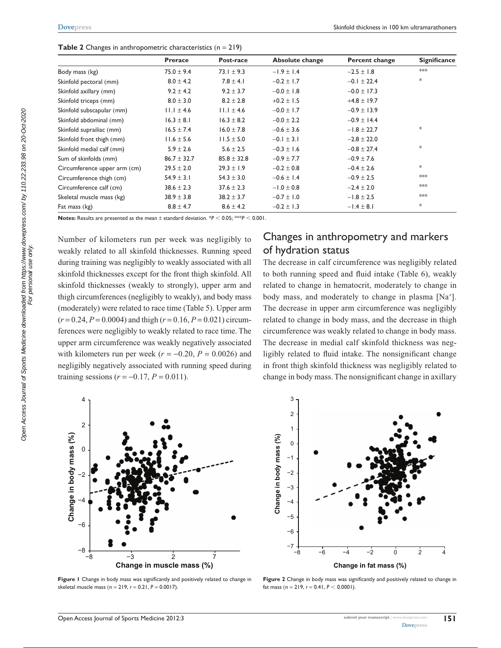|                              | <b>Prerace</b>  | Post-race       | Absolute change | Percent change  | <b>Significance</b> |
|------------------------------|-----------------|-----------------|-----------------|-----------------|---------------------|
| Body mass (kg)               | $75.0 \pm 9.4$  | 73.1 $\pm$ 9.3  | $-1.9 \pm 1.4$  | $-2.5 \pm 1.8$  | ***                 |
| Skinfold pectoral (mm)       | $8.0 \pm 4.2$   | $7.8 \pm 4.1$   | $-0.2 \pm 1.7$  | $-0.1 \pm 22.4$ | $\ast$              |
| Skinfold axillary (mm)       | $9.2 \pm 4.2$   | $9.2 \pm 3.7$   | $-0.0 \pm 1.8$  | $-0.0 \pm 17.3$ |                     |
| Skinfold triceps (mm)        | $8.0 \pm 3.0$   | $8.2 \pm 2.8$   | $+0.2 \pm 1.5$  | $+4.8 \pm 19.7$ |                     |
| Skinfold subscapular (mm)    | $11.1 \pm 4.6$  | $11.1 \pm 4.6$  | $-0.0 \pm 1.7$  | $-0.9 \pm 13.9$ |                     |
| Skinfold abdominal (mm)      | $16.3 \pm 8.1$  | $16.3 \pm 8.2$  | $-0.0 \pm 2.2$  | $-0.9 \pm 14.4$ |                     |
| Skinfold suprailiac (mm)     | $16.5 \pm 7.4$  | $16.0 \pm 7.8$  | $-0.6 \pm 3.6$  | $-1.8 \pm 22.7$ | $\ast$              |
| Skinfold front thigh (mm)    | $11.6 \pm 5.6$  | $11.5 \pm 5.0$  | $-0.1 \pm 3.1$  | $-2.8 \pm 22.0$ |                     |
| Skinfold medial calf (mm)    | $5.9 \pm 2.6$   | $5.6 \pm 2.5$   | $-0.3 \pm 1.6$  | $-0.8 \pm 27.4$ | $\ast$              |
| Sum of skinfolds (mm)        | $86.7 \pm 32.7$ | $85.8 \pm 32.8$ | $-0.9 \pm 7.7$  | $-0.9 \pm 7.6$  |                     |
| Circumference upper arm (cm) | $29.5 \pm 2.0$  | $29.3 \pm 1.9$  | $-0.2 \pm 0.8$  | $-0.4 \pm 2.6$  | $\ast$              |
| Circumference thigh (cm)     | $54.9 \pm 3.1$  | $54.3 \pm 3.0$  | $-0.6 \pm 1.4$  | $-0.9 \pm 2.5$  | ***                 |
| Circumference calf (cm)      | $38.6 \pm 2.3$  | $37.6 \pm 2.3$  | $-1.0 \pm 0.8$  | $-2.4 \pm 2.0$  | ***                 |
| Skeletal muscle mass (kg)    | $38.9 \pm 3.8$  | $38.2 \pm 3.7$  | $-0.7 \pm 1.0$  | $-1.8 \pm 2.5$  | ***                 |
| Fat mass (kg)                | $8.8 \pm 4.7$   | $8.6 \pm 4.2$   | $-0.2 \pm 1.3$  | $-1.4 \pm 8.1$  | $\ast$              |

**Table 2** Changes in anthropometric characteristics (n = 219)

**Notes:** Results are presented as the mean  $\pm$  standard deviation. \* $P < 0.05$ ; \*\* $P < 0.001$ .

Number of kilometers run per week was negligibly to weakly related to all skinfold thicknesses. Running speed during training was negligibly to weakly associated with all skinfold thicknesses except for the front thigh skinfold. All skinfold thicknesses (weakly to strongly), upper arm and thigh circumferences (negligibly to weakly), and body mass (moderately) were related to race time (Table 5). Upper arm  $(r=0.24, P=0.0004)$  and thigh  $(r=0.16, P=0.021)$  circumferences were negligibly to weakly related to race time. The upper arm circumference was weakly negatively associated with kilometers run per week ( $r = -0.20$ ,  $P = 0.0026$ ) and negligibly negatively associated with running speed during training sessions ( $r = -0.17$ ,  $P = 0.011$ ).

### Changes in anthropometry and markers of hydration status

The decrease in calf circumference was negligibly related to both running speed and fluid intake (Table 6), weakly related to change in hematocrit, moderately to change in body mass, and moderately to change in plasma [Na<sup>+</sup> ]. The decrease in upper arm circumference was negligibly related to change in body mass, and the decrease in thigh circumference was weakly related to change in body mass. The decrease in medial calf skinfold thickness was negligibly related to fluid intake. The nonsignificant change in front thigh skinfold thickness was negligibly related to change in body mass. The nonsignificant change in axillary



**Figure 1** Change in body mass was significantly and positively related to change in skeletal muscle mass (n = 219, *r* = 0.21, *P* = 0.0017).



**Figure 2** Change in body mass was significantly and positively related to change in fat mass ( $n = 219$ ,  $r = 0.41$ ,  $P < 0.0001$ ).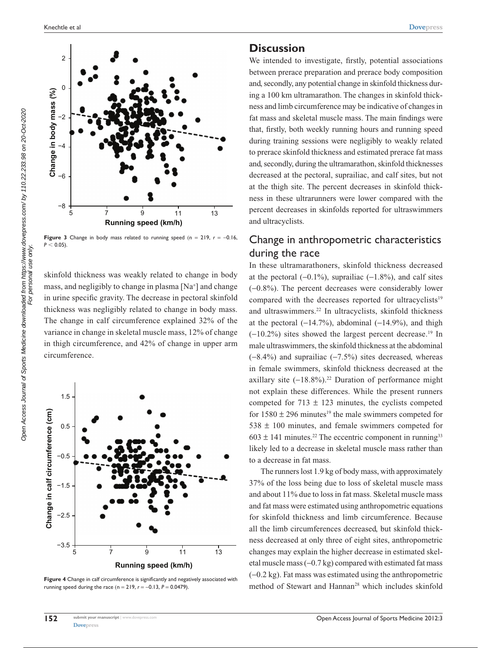

skinfold thickness was weakly related to change in body mass, and negligibly to change in plasma [Na<sup>+</sup> ] and change in urine specific gravity. The decrease in pectoral skinfold thickness was negligibly related to change in body mass. The change in calf circumference explained 32% of the variance in change in skeletal muscle mass, 12% of change in thigh circumference, and 42% of change in upper arm circumference.



**Figure 4** Change in calf circumference is significantly and negatively associated with running speed during the race (n = 219, *r* = -0.13, *P* = 0.0479).

#### **Discussion**

We intended to investigate, firstly, potential associations between prerace preparation and prerace body composition and, secondly, any potential change in skinfold thickness during a 100 km ultramarathon. The changes in skinfold thickness and limb circumference may be indicative of changes in fat mass and skeletal muscle mass. The main findings were that, firstly, both weekly running hours and running speed during training sessions were negligibly to weakly related to prerace skinfold thickness and estimated prerace fat mass and, secondly, during the ultramarathon, skinfold thicknesses decreased at the pectoral, suprailiac, and calf sites, but not at the thigh site. The percent decreases in skinfold thickness in these ultrarunners were lower compared with the percent decreases in skinfolds reported for ultraswimmers and ultracyclists.

### Change in anthropometric characteristics during the race

In these ultramarathoners, skinfold thickness decreased at the pectoral  $(-0.1\%)$ , suprailiac  $(-1.8\%)$ , and calf sites (-0.8%). The percent decreases were considerably lower compared with the decreases reported for ultracyclists<sup>19</sup> and ultraswimmers.22 In ultracyclists, skinfold thickness at the pectoral  $(-14.7%)$ , abdominal  $(-14.9%)$ , and thigh  $(-10.2\%)$  sites showed the largest percent decrease.<sup>19</sup> In male ultraswimmers, the skinfold thickness at the abdominal  $(-8.4\%)$  and suprailiac  $(-7.5\%)$  sites decreased, whereas in female swimmers, skinfold thickness decreased at the axillary site  $(-18.8\%)$ .<sup>22</sup> Duration of performance might not explain these differences. While the present runners competed for  $713 \pm 123$  minutes, the cyclists competed for  $1580 \pm 296$  minutes<sup>19</sup> the male swimmers competed for  $538 \pm 100$  minutes, and female swimmers competed for  $603 \pm 141$  minutes.<sup>22</sup> The eccentric component in running<sup>33</sup> likely led to a decrease in skeletal muscle mass rather than to a decrease in fat mass.

The runners lost 1.9 kg of body mass, with approximately 37% of the loss being due to loss of skeletal muscle mass and about 11% due to loss in fat mass. Skeletal muscle mass and fat mass were estimated using anthropometric equations for skinfold thickness and limb circumference. Because all the limb circumferences decreased, but skinfold thickness decreased at only three of eight sites, anthropometric changes may explain the higher decrease in estimated skeletal muscle mass  $(-0.7 \text{ kg})$  compared with estimated fat mass  $(-0.2 \text{ kg})$ . Fat mass was estimated using the anthropometric method of Stewart and Hannan<sup>28</sup> which includes skinfold

Knechtle et al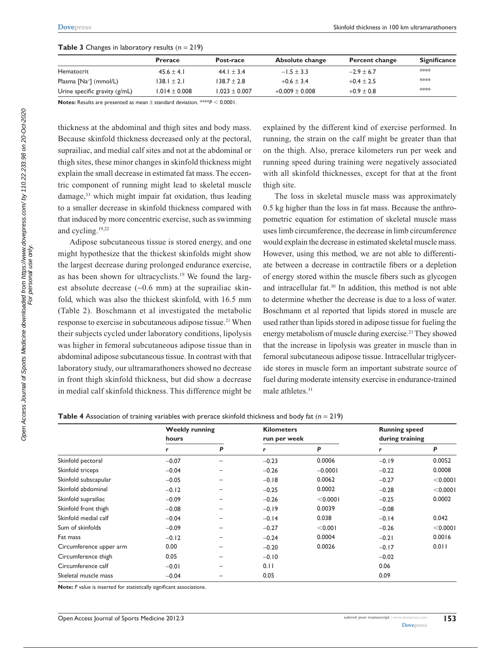| .                                  |                   |                   |                    |                |                     |  |
|------------------------------------|-------------------|-------------------|--------------------|----------------|---------------------|--|
|                                    | <b>Prerace</b>    | Post-race         | Absolute change    | Percent change | <b>Significance</b> |  |
| Hematocrit                         | $45.6 \pm 4.1$    | 44.1 $\pm$ 3.4    | $-1.5 \pm 3.3$     | $-2.9 \pm 6.7$ | ****                |  |
| Plasma [Na <sup>+</sup> ] (mmol/L) | $138.1 \pm 2.1$   | $138.7 \pm 2.8$   | $+0.6 \pm 3.4$     | $+0.4 \pm 2.5$ | ****                |  |
| Urine specific gravity $(g/mL)$    | $1.014 \pm 0.008$ | $1.023 \pm 0.007$ | $+0.009 \pm 0.008$ | $+0.9 \pm 0.8$ | ****                |  |

#### **Table 3** Changes in laboratory results  $(n = 219)$

**Notes:** Results are presented as mean  $\pm$  standard deviation. \*\*\* $P < 0.0001$ .

thickness at the abdominal and thigh sites and body mass. Because skinfold thickness decreased only at the pectoral, suprailiac, and medial calf sites and not at the abdominal or thigh sites, these minor changes in skinfold thickness might explain the small decrease in estimated fat mass. The eccentric component of running might lead to skeletal muscle damage,<sup>33</sup> which might impair fat oxidation, thus leading to a smaller decrease in skinfold thickness compared with that induced by more concentric exercise, such as swimming and cycling.19,22

Adipose subcutaneous tissue is stored energy, and one might hypothesize that the thickest skinfolds might show the largest decrease during prolonged endurance exercise, as has been shown for ultracyclists.<sup>19</sup> We found the largest absolute decrease  $(-0.6 \text{ mm})$  at the suprailiac skinfold, which was also the thickest skinfold, with 16.5 mm (Table 2). Boschmann et al investigated the metabolic response to exercise in subcutaneous adipose tissue.<sup>21</sup> When their subjects cycled under laboratory conditions, lipolysis was higher in femoral subcutaneous adipose tissue than in abdominal adipose subcutaneous tissue. In contrast with that laboratory study, our ultramarathoners showed no decrease in front thigh skinfold thickness, but did show a decrease in medial calf skinfold thickness. This difference might be

explained by the different kind of exercise performed. In running, the strain on the calf might be greater than that on the thigh. Also, prerace kilometers run per week and running speed during training were negatively associated with all skinfold thicknesses, except for that at the front thigh site.

The loss in skeletal muscle mass was approximately 0.5 kg higher than the loss in fat mass. Because the anthropometric equation for estimation of skeletal muscle mass uses limb circumference, the decrease in limb circumference would explain the decrease in estimated skeletal muscle mass. However, using this method, we are not able to differentiate between a decrease in contractile fibers or a depletion of energy stored within the muscle fibers such as glycogen and intracellular fat.<sup>30</sup> In addition, this method is not able to determine whether the decrease is due to a loss of water. Boschmann et al reported that lipids stored in muscle are used rather than lipids stored in adipose tissue for fueling the energy metabolism of muscle during exercise.21 They showed that the increase in lipolysis was greater in muscle than in femoral subcutaneous adipose tissue. Intracellular triglyceride stores in muscle form an important substrate source of fuel during moderate intensity exercise in endurance-trained male athletes.<sup>31</sup>

**Table 4** Association of training variables with prerace skinfold thickness and body fat (n = 219)

|                         | <b>Weekly running</b><br>hours |   | <b>Kilometers</b><br>run per week |           | <b>Running speed</b><br>during training |          |
|-------------------------|--------------------------------|---|-----------------------------------|-----------|-----------------------------------------|----------|
|                         |                                |   |                                   |           |                                         |          |
|                         | r                              | P | r                                 | P         | r                                       | P        |
| Skinfold pectoral       | $-0.07$                        |   | $-0.23$                           | 0.0006    | $-0.19$                                 | 0.0052   |
| Skinfold triceps        | $-0.04$                        | - | $-0.26$                           | $-0.0001$ | $-0.22$                                 | 0.0008   |
| Skinfold subscapular    | $-0.05$                        |   | $-0.18$                           | 0.0062    | $-0.27$                                 | < 0.0001 |
| Skinfold abdominal      | $-0.12$                        | - | $-0.25$                           | 0.0002    | $-0.28$                                 | < 0.0001 |
| Skinfold suprailiac     | $-0.09$                        |   | $-0.26$                           | < 0.0001  | $-0.25$                                 | 0.0002   |
| Skinfold front thigh    | $-0.08$                        |   | $-0.19$                           | 0.0039    | $-0.08$                                 |          |
| Skinfold medial calf    | $-0.04$                        |   | $-0.14$                           | 0.038     | $-0.14$                                 | 0.042    |
| Sum of skinfolds        | $-0.09$                        |   | $-0.27$                           | < 0.001   | $-0.26$                                 | < 0.0001 |
| Fat mass                | $-0.12$                        |   | $-0.24$                           | 0.0004    | $-0.21$                                 | 0.0016   |
| Circumference upper arm | 0.00                           | - | $-0.20$                           | 0.0026    | $-0.17$                                 | 0.011    |
| Circumference thigh     | 0.05                           |   | $-0.10$                           |           | $-0.02$                                 |          |
| Circumference calf      | $-0.01$                        |   | 0.11                              |           | 0.06                                    |          |
| Skeletal muscle mass    | $-0.04$                        |   | 0.05                              |           | 0.09                                    |          |

**Note:** *P* value is inserted for statistically significant associations.

For personal use only.

**153**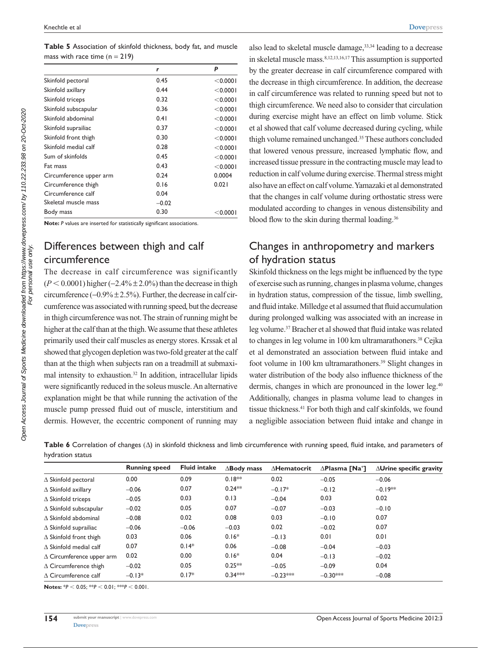**Table 5** Association of skinfold thickness, body fat, and muscle mass with race time  $(n = 219)$ 

|                         | r       | P           |
|-------------------------|---------|-------------|
| Skinfold pectoral       | 0.45    | $<$ 0.000   |
| Skinfold axillary       | 0.44    | < 0.0001    |
| Skinfold triceps        | 0.32    | $<$ 0.000   |
| Skinfold subscapular    | 0.36    | $<$ 0.000   |
| Skinfold abdominal      | 0.41    | < 0.0001    |
| Skinfold suprailiac     | 0.37    | $<$ 0.000   |
| Skinfold front thigh    | 0.30    | < 0.0001    |
| Skinfold medial calf    | 0.28    | $<$ 0.000   |
| Sum of skinfolds        | 0.45    | $<$ 0.000   |
| Fat mass                | 0.43    | < 0.0001    |
| Circumference upper arm | 0.24    | 0.0004      |
| Circumference thigh     | 0.16    | 0.021       |
| Circumference calf      | 0.04    |             |
| Skeletal muscle mass    | $-0.02$ |             |
| Body mass               | 0.30    | $<$ 0.000 l |

**Note:** *P* values are inserted for statistically significant associations.

# Differences between thigh and calf circumference

The decrease in calf circumference was significantly  $(P < 0.0001)$  higher  $(-2.4\% \pm 2.0\%)$  than the decrease in thigh circumference  $(-0.9\% \pm 2.5\%)$ . Further, the decrease in calf circumference was associated with running speed, but the decrease in thigh circumference was not. The strain of running might be higher at the calf than at the thigh. We assume that these athletes primarily used their calf muscles as energy stores. Krssak et al showed that glycogen depletion was two-fold greater at the calf than at the thigh when subjects ran on a treadmill at submaximal intensity to exhaustion.<sup>32</sup> In addition, intracellular lipids were significantly reduced in the soleus muscle. An alternative explanation might be that while running the activation of the muscle pump pressed fluid out of muscle, interstitium and dermis. However, the eccentric component of running may

also lead to skeletal muscle damage,<sup>33,34</sup> leading to a decrease in skeletal muscle mass.8,12,13,16,17 This assumption is supported by the greater decrease in calf circumference compared with the decrease in thigh circumference. In addition, the decrease in calf circumference was related to running speed but not to thigh circumference. We need also to consider that circulation during exercise might have an effect on limb volume. Stick et al showed that calf volume decreased during cycling, while thigh volume remained unchanged.<sup>35</sup> These authors concluded that lowered venous pressure, increased lymphatic flow, and increased tissue pressure in the contracting muscle may lead to reduction in calf volume during exercise. Thermal stress might also have an effect on calf volume. Yamazaki et al demonstrated that the changes in calf volume during orthostatic stress were modulated according to changes in venous distensibility and blood flow to the skin during thermal loading.<sup>36</sup>

# Changes in anthropometry and markers of hydration status

Skinfold thickness on the legs might be influenced by the type of exercise such as running, changes in plasma volume, changes in hydration status, compression of the tissue, limb swelling, and fluid intake. Milledge et al assumed that fluid accumulation during prolonged walking was associated with an increase in leg volume.37 Bracher et al showed that fluid intake was related to changes in leg volume in 100 km ultramarathoners.<sup>38</sup> Cejka et al demonstrated an association between fluid intake and foot volume in 100 km ultramarathoners.<sup>39</sup> Slight changes in water distribution of the body also influence thickness of the dermis, changes in which are pronounced in the lower leg.<sup>40</sup> Additionally, changes in plasma volume lead to changes in tissue thickness.41 For both thigh and calf skinfolds, we found a negligible association between fluid intake and change in

**Table 6** Correlation of changes (Δ) in skinfold thickness and limb circumference with running speed, fluid intake, and parameters of hydration status

|                                  | <b>Running speed</b> | <b>Fluid intake</b> | $\Delta$ Body mass | ∆Hematocrit | $\Delta$ Plasma [Na <sup>+</sup> ] | $\Delta$ Urine specific gravity |
|----------------------------------|----------------------|---------------------|--------------------|-------------|------------------------------------|---------------------------------|
| $\Delta$ Skinfold pectoral       | 0.00                 | 0.09                | $0.18**$           | 0.02        | $-0.05$                            | $-0.06$                         |
| $\Delta$ Skinfold axillary       | $-0.06$              | 0.07                | $0.24***$          | $-0.17*$    | $-0.12$                            | $-0.19**$                       |
| $\Delta$ Skinfold triceps        | $-0.05$              | 0.03                | 0.13               | $-0.04$     | 0.03                               | 0.02                            |
| $\Delta$ Skinfold subscapular    | $-0.02$              | 0.05                | 0.07               | $-0.07$     | $-0.03$                            | $-0.10$                         |
| $\Lambda$ Skinfold abdominal     | $-0.08$              | 0.02                | 0.08               | 0.03        | $-0.10$                            | 0.07                            |
| $\Delta$ Skinfold suprailiac     | $-0.06$              | $-0.06$             | $-0.03$            | 0.02        | $-0.02$                            | 0.07                            |
| $\Delta$ Skinfold front thigh    | 0.03                 | 0.06                | $0.16*$            | $-0.13$     | 0.01                               | 0.01                            |
| $\Delta$ Skinfold medial calf    | 0.07                 | $0.14*$             | 0.06               | $-0.08$     | $-0.04$                            | $-0.03$                         |
| $\Delta$ Circumference upper arm | 0.02                 | 0.00                | $0.16*$            | 0.04        | $-0.13$                            | $-0.02$                         |
| $\Delta$ Circumference thigh     | $-0.02$              | 0.05                | $0.25***$          | $-0.05$     | $-0.09$                            | 0.04                            |
| $\Lambda$ Circumference calf     | $-0.13*$             | $0.17*$             | $0.34***$          | $-0.23***$  | $-0.30***$                         | $-0.08$                         |

**Notes:**  $*P < 0.05$ ;  $*P < 0.01$ ;  $*PP < 0.001$ .

For personal use only.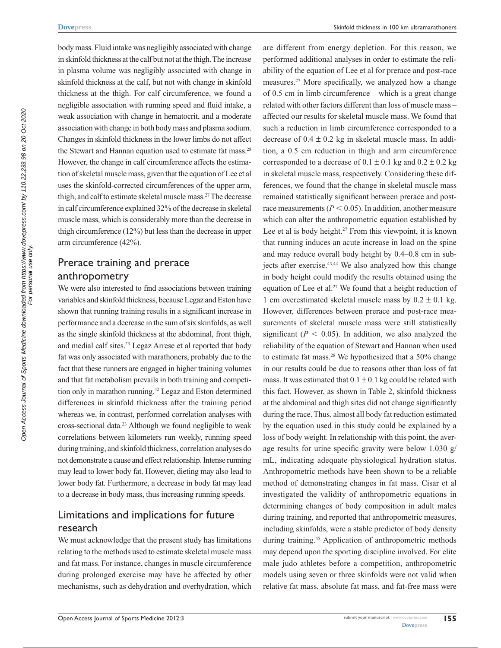body mass. Fluid intake was negligibly associated with change in skinfold thickness at the calf but not at the thigh. The increase in plasma volume was negligibly associated with change in skinfold thickness at the calf, but not with change in skinfold thickness at the thigh. For calf circumference, we found a negligible association with running speed and fluid intake, a weak association with change in hematocrit, and a moderate association with change in both body mass and plasma sodium. Changes in skinfold thickness in the lower limbs do not affect the Stewart and Hannan equation used to estimate fat mass.<sup>28</sup> However, the change in calf circumference affects the estimation of skeletal muscle mass, given that the equation of Lee et al uses the skinfold-corrected circumferences of the upper arm, thigh, and calf to estimate skeletal muscle mass.27 The decrease in calf circumference explained 32% of the decrease in skeletal muscle mass, which is considerably more than the decrease in thigh circumference (12%) but less than the decrease in upper arm circumference (42%).

# Prerace training and prerace anthropometry

We were also interested to find associations between training variables and skinfold thickness, because Legaz and Eston have shown that running training results in a significant increase in performance and a decrease in the sum of six skinfolds, as well as the single skinfold thickness at the abdominal, front thigh, and medial calf sites.23 Legaz Arrese et al reported that body fat was only associated with marathoners, probably due to the fact that these runners are engaged in higher training volumes and that fat metabolism prevails in both training and competition only in marathon running.42 Legaz and Eston determined differences in skinfold thickness after the training period whereas we, in contrast, performed correlation analyses with cross-sectional data.23 Although we found negligible to weak correlations between kilometers run weekly, running speed during training, and skinfold thickness, correlation analyses do not demonstrate a cause and effect relationship. Intense running may lead to lower body fat. However, dieting may also lead to lower body fat. Furthermore, a decrease in body fat may lead to a decrease in body mass, thus increasing running speeds.

# Limitations and implications for future research

We must acknowledge that the present study has limitations relating to the methods used to estimate skeletal muscle mass and fat mass. For instance, changes in muscle circumference during prolonged exercise may have be affected by other mechanisms, such as dehydration and overhydration, which

are different from energy depletion. For this reason, we performed additional analyses in order to estimate the reliability of the equation of Lee et al for prerace and post-race measures.27 More specifically, we analyzed how a change of 0.5 cm in limb circumference – which is a great change related with other factors different than loss of muscle mass – affected our results for skeletal muscle mass. We found that such a reduction in limb circumference corresponded to a decrease of  $0.4 \pm 0.2$  kg in skeletal muscle mass. In addition, a 0.5 cm reduction in thigh and arm circumference corresponded to a decrease of  $0.1 \pm 0.1$  kg and  $0.2 \pm 0.2$  kg in skeletal muscle mass, respectively. Considering these differences, we found that the change in skeletal muscle mass remained statistically significant between prerace and postrace measurements ( $P < 0.05$ ). In addition, another measure which can alter the anthropometric equation established by Lee et al is body height.<sup>27</sup> From this viewpoint, it is known that running induces an acute increase in load on the spine and may reduce overall body height by 0.4–0.8 cm in subjects after exercise.<sup>43,44</sup> We also analyzed how this change in body height could modify the results obtained using the equation of Lee et al.27 We found that a height reduction of 1 cm overestimated skeletal muscle mass by  $0.2 \pm 0.1$  kg. However, differences between prerace and post-race measurements of skeletal muscle mass were still statistically significant ( $P < 0.05$ ). In addition, we also analyzed the reliability of the equation of Stewart and Hannan when used to estimate fat mass.<sup>28</sup> We hypothesized that a  $50\%$  change in our results could be due to reasons other than loss of fat mass. It was estimated that  $0.1 \pm 0.1$  kg could be related with this fact. However, as shown in Table 2, skinfold thickness at the abdominal and thigh sites did not change significantly during the race. Thus, almost all body fat reduction estimated by the equation used in this study could be explained by a loss of body weight. In relationship with this point, the average results for urine specific gravity were below 1.030 g/ mL, indicating adequate physiological hydration status. Anthropometric methods have been shown to be a reliable method of demonstrating changes in fat mass. Cisar et al investigated the validity of anthropometric equations in determining changes of body composition in adult males during training, and reported that anthropometric measures, including skinfolds, were a stable predictor of body density during training.45 Application of anthropometric methods may depend upon the sporting discipline involved. For elite male judo athletes before a competition, anthropometric models using seven or three skinfolds were not valid when relative fat mass, absolute fat mass, and fat-free mass were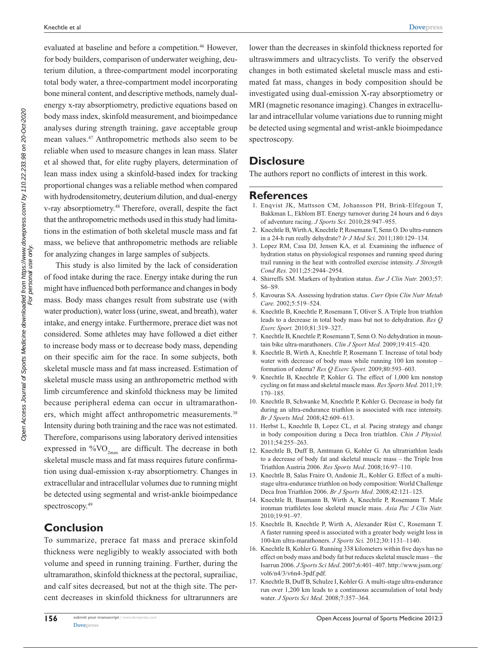evaluated at baseline and before a competition.<sup>46</sup> However, for body builders, comparison of underwater weighing, deuterium dilution, a three-compartment model incorporating total body water, a three-compartment model incorporating bone mineral content, and descriptive methods, namely dualenergy x-ray absorptiometry, predictive equations based on body mass index, skinfold measurement, and bioimpedance analyses during strength training, gave acceptable group mean values.47 Anthropometric methods also seem to be reliable when used to measure changes in lean mass. Slater et al showed that, for elite rugby players, determination of lean mass index using a skinfold-based index for tracking proportional changes was a reliable method when compared with hydrodensitometry, deuterium dilution, and dual-energy v-ray absorptiometry.48 Therefore, overall, despite the fact that the anthropometric methods used in this study had limitations in the estimation of both skeletal muscle mass and fat mass, we believe that anthropometric methods are reliable for analyzing changes in large samples of subjects.

This study is also limited by the lack of consideration of food intake during the race. Energy intake during the run might have influenced both performance and changes in body mass. Body mass changes result from substrate use (with water production), water loss (urine, sweat, and breath), water intake, and energy intake. Furthermore, prerace diet was not considered. Some athletes may have followed a diet either to increase body mass or to decrease body mass, depending on their specific aim for the race. In some subjects, both skeletal muscle mass and fat mass increased. Estimation of skeletal muscle mass using an anthropometric method with limb circumference and skinfold thickness may be limited because peripheral edema can occur in ultramarathoners, which might affect anthropometric measurements.<sup>38</sup> Intensity during both training and the race was not estimated. Therefore, comparisons using laboratory derived intensities expressed in  $\%VO_{2max}$  are difficult. The decrease in both skeletal muscle mass and fat mass requires future confirmation using dual-emission x-ray absorptiometry. Changes in extracellular and intracellular volumes due to running might be detected using segmental and wrist-ankle bioimpedance spectroscopy.<sup>49</sup>

#### **Conclusion**

To summarize, prerace fat mass and prerace skinfold thickness were negligibly to weakly associated with both volume and speed in running training. Further, during the ultramarathon, skinfold thickness at the pectoral, suprailiac, and calf sites decreased, but not at the thigh site. The percent decreases in skinfold thickness for ultrarunners are

lower than the decreases in skinfold thickness reported for ultraswimmers and ultracyclists. To verify the observed changes in both estimated skeletal muscle mass and estimated fat mass, changes in body composition should be investigated using dual-emission X-ray absorptiometry or MRI (magnetic resonance imaging). Changes in extracellular and intracellular volume variations due to running might be detected using segmental and wrist-ankle bioimpedance spectroscopy.

#### **Disclosure**

The authors report no conflicts of interest in this work.

#### **References**

- 1. Enqvist JK, Mattsson CM, Johansson PH, Brink-Elfegoun T, Bakkman L, Ekblom BT. Energy turnover during 24 hours and 6 days of adventure racing. *J Sports Sci.* 2010;28:947–955.
- 2. Knechtle B, Wirth A, Knechtle P, Rosemann T, Senn O. Do ultra-runners in a 24-h run really dehydrate? *Ir J Med Sci.* 2011;180:129–134.
- 3. Lopez RM, Casa DJ, Jensen KA, et al. Examining the influence of hydration status on physiological responses and running speed during trail running in the heat with controlled exercise intensity. *J Strength Cond Res.* 2011;25:2944–2954.
- 4. Shirreffs SM. Markers of hydration status. *Eur J Clin Nutr.* 2003;57: S6–S9.
- 5. Kavouras SA. Assessing hydration status. *Curr Opin Clin Nutr Metab Care.* 2002;5:519–524.
- 6. Knechtle B, Knechtle P, Rosemann T, Oliver S. A Triple Iron triathlon leads to a decrease in total body mass but not to dehydration. *Res Q Exerc Sport.* 2010;81:319–327.
- 7. Knechtle B, Knechtle P, Rosemann T, Senn O. No dehydration in mountain bike ultra-marathoners. *Clin J Sport Med.* 2009;19:415–420.
- 8. Knechtle B, Wirth A, Knechtle P, Rosemann T. Increase of total body water with decrease of body mass while running 100 km nonstop – formation of edema? *Res Q Exerc Sport.* 2009;80:593–603.
- 9. Knechtle B, Knechtle P, Kohler G. The effect of 1,000 km nonstop cycling on fat mass and skeletal muscle mass. *Res Sports Med.* 2011;19: 170–185.
- 10. Knechtle B, Schwanke M, Knechtle P, Kohler G. Decrease in body fat during an ultra-endurance triathlon is associated with race intensity. *Br J Sports Med.* 2008;42:609–613.
- 11. Herbst L, Knechtle B, Lopez CL, et al. Pacing strategy and change in body composition during a Deca Iron triathlon. *Chin J Physiol.* 2011;54:255–263.
- 12. Knechtle B, Duff B, Amtmann G, Kohler G. An ultratriathlon leads to a decrease of body fat and skeletal muscle mass – the Triple Iron Triathlon Austria 2006. *Res Sports Med*. 2008;16:97–110.
- 13. Knechtle B, Salas Fraire O, Andonie JL, Kohler G. Effect of a multistage ultra-endurance triathlon on body composition: World Challenge Deca Iron Triathlon 2006. *Br J Sports Med*. 2008;42:121–125.
- 14. Knechtle B, Baumann B, Wirth A, Knechtle P, Rosemann T. Male ironman triathletes lose skeletal muscle mass. *Asia Pac J Clin Nutr.* 2010;19:91–97.
- 15. Knechtle B, Knechtle P, Wirth A, Alexander Rüst C, Rosemann T. A faster running speed is associated with a greater body weight loss in 100-km ultra-marathoners. *J Sports Sci.* 2012;30:1131–1140.
- 16. Knechtle B, Kohler G. Running 338 kilometers within five days has no effect on body mass and body fat but reduces skeletal muscle mass – the Isarrun 2006. *J Sports Sci Med*. 2007;6:401–407. [http://www.jssm.org/](http://www.jssm.org/vol6/n4/3/v6n4-3pdf.pdf) [vol6/n4/3/v6n4-3pdf.pdf](http://www.jssm.org/vol6/n4/3/v6n4-3pdf.pdf).
- 17. Knechtle B, Duff B, Schulze I, Kohler G. A multi-stage ultra-endurance run over 1,200 km leads to a continuous accumulation of total body water. *J Sports Sci Med*. 2008;7:357–364.